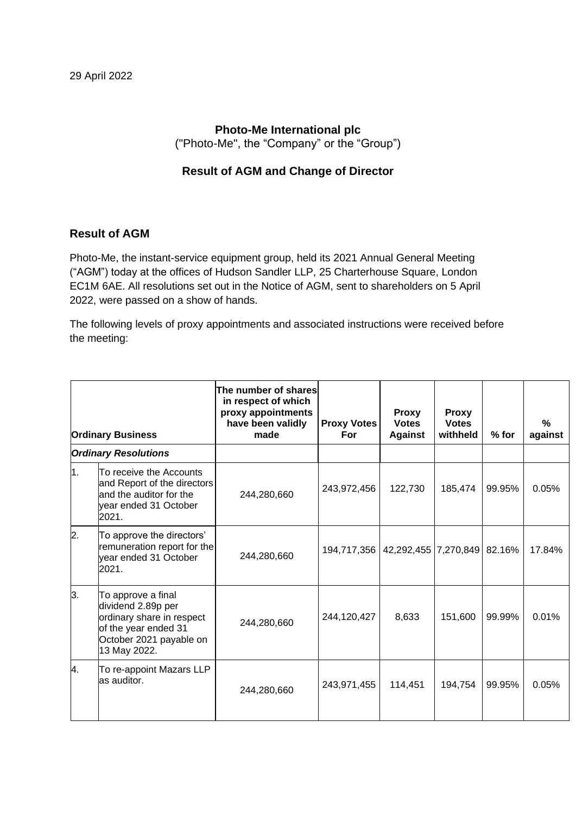# **Photo-Me International plc** ("Photo-Me", the "Company" or the "Group")

### **Result of AGM and Change of Director**

### **Result of AGM**

Photo-Me, the instant-service equipment group, held its 2021 Annual General Meeting ("AGM") today at the offices of Hudson Sandler LLP, 25 Charterhouse Square, London EC1M 6AE. All resolutions set out in the Notice of AGM, sent to shareholders on 5 April 2022, were passed on a show of hands.

The following levels of proxy appointments and associated instructions were received before the meeting:

| <b>Ordinary Business</b>    |                                                                                                                                          | The number of shares<br>in respect of which<br>proxy appointments<br>have been validly<br>made | <b>Proxy Votes</b><br>For            | <b>Proxy</b><br><b>Votes</b><br><b>Against</b> | <b>Proxy</b><br><b>Votes</b><br>withheld | % for  | %<br>against |
|-----------------------------|------------------------------------------------------------------------------------------------------------------------------------------|------------------------------------------------------------------------------------------------|--------------------------------------|------------------------------------------------|------------------------------------------|--------|--------------|
| <b>Ordinary Resolutions</b> |                                                                                                                                          |                                                                                                |                                      |                                                |                                          |        |              |
| 1.                          | To receive the Accounts<br>and Report of the directors<br>and the auditor for the<br>year ended 31 October<br>2021.                      | 244,280,660                                                                                    | 243,972,456                          | 122,730                                        | 185,474                                  | 99.95% | 0.05%        |
| 2.                          | To approve the directors'<br>remuneration report for the<br>vear ended 31 October<br>2021.                                               | 244,280,660                                                                                    | 194,717,356   42,292,455   7,270,849 |                                                |                                          | 82.16% | 17.84%       |
| 3.                          | To approve a final<br>dividend 2.89p per<br>ordinary share in respect<br>of the year ended 31<br>October 2021 payable on<br>13 May 2022. | 244,280,660                                                                                    | 244,120,427                          | 8,633                                          | 151,600                                  | 99.99% | 0.01%        |
| 4.                          | To re-appoint Mazars LLP<br>as auditor.                                                                                                  | 244,280,660                                                                                    | 243,971,455                          | 114,451                                        | 194,754                                  | 99.95% | 0.05%        |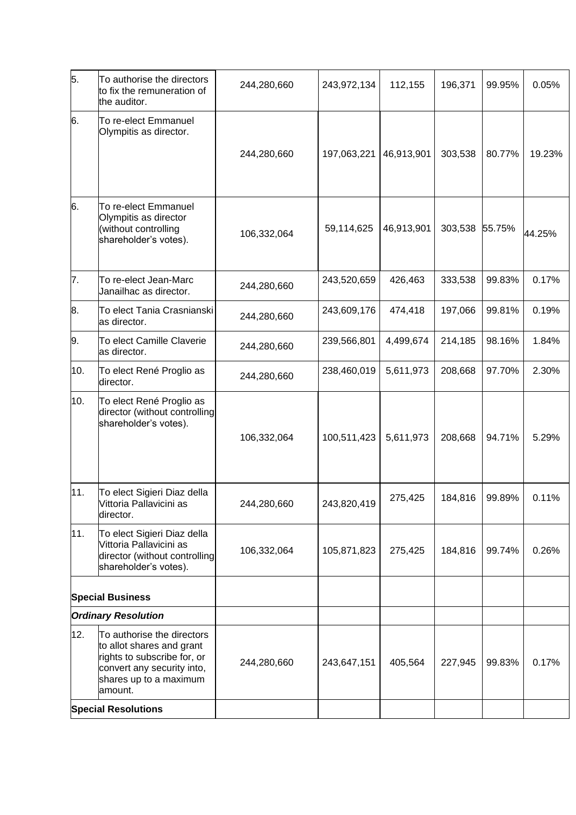| 5.                         | To authorise the directors<br>to fix the remuneration of<br>the auditor.                                                                                  | 244,280,660 | 243,972,134 | 112,155    | 196,371 | 99.95% | 0.05%  |
|----------------------------|-----------------------------------------------------------------------------------------------------------------------------------------------------------|-------------|-------------|------------|---------|--------|--------|
| 6.                         | To re-elect Emmanuel<br>Olympitis as director.                                                                                                            | 244,280,660 | 197,063,221 | 46,913,901 | 303,538 | 80.77% | 19.23% |
| 6.                         | To re-elect Emmanuel<br>Olympitis as director<br>(without controlling<br>shareholder's votes).                                                            | 106,332,064 | 59,114,625  | 46,913,901 | 303,538 | 55.75% | 44.25% |
| 7.                         | To re-elect Jean-Marc<br>Janailhac as director.                                                                                                           | 244,280,660 | 243,520,659 | 426,463    | 333,538 | 99.83% | 0.17%  |
| 8.                         | To elect Tania Crasnianski<br>as director.                                                                                                                | 244,280,660 | 243,609,176 | 474,418    | 197,066 | 99.81% | 0.19%  |
| 9.                         | To elect Camille Claverie<br>as director.                                                                                                                 | 244,280,660 | 239,566,801 | 4,499,674  | 214,185 | 98.16% | 1.84%  |
| 10.                        | To elect René Proglio as<br>director.                                                                                                                     | 244,280,660 | 238,460,019 | 5,611,973  | 208,668 | 97.70% | 2.30%  |
| 10.                        | To elect René Proglio as<br>director (without controlling<br>shareholder's votes).                                                                        | 106,332,064 | 100,511,423 | 5,611,973  | 208,668 | 94.71% | 5.29%  |
| 11.                        | To elect Sigieri Diaz della<br>Vittoria Pallavicini as<br>director.                                                                                       | 244,280,660 | 243,820,419 | 275,425    | 184,816 | 99.89% | 0.11%  |
| 11.                        | To elect Sigieri Diaz della<br>Vittoria Pallavicini as<br>director (without controlling<br>shareholder's votes).                                          | 106,332,064 | 105,871,823 | 275,425    | 184,816 | 99.74% | 0.26%  |
|                            | <b>Special Business</b>                                                                                                                                   |             |             |            |         |        |        |
|                            | <b>Ordinary Resolution</b>                                                                                                                                |             |             |            |         |        |        |
| 12.                        | To authorise the directors<br>to allot shares and grant<br>rights to subscribe for, or<br>convert any security into,<br>shares up to a maximum<br>amount. | 244,280,660 | 243,647,151 | 405,564    | 227,945 | 99.83% | 0.17%  |
| <b>Special Resolutions</b> |                                                                                                                                                           |             |             |            |         |        |        |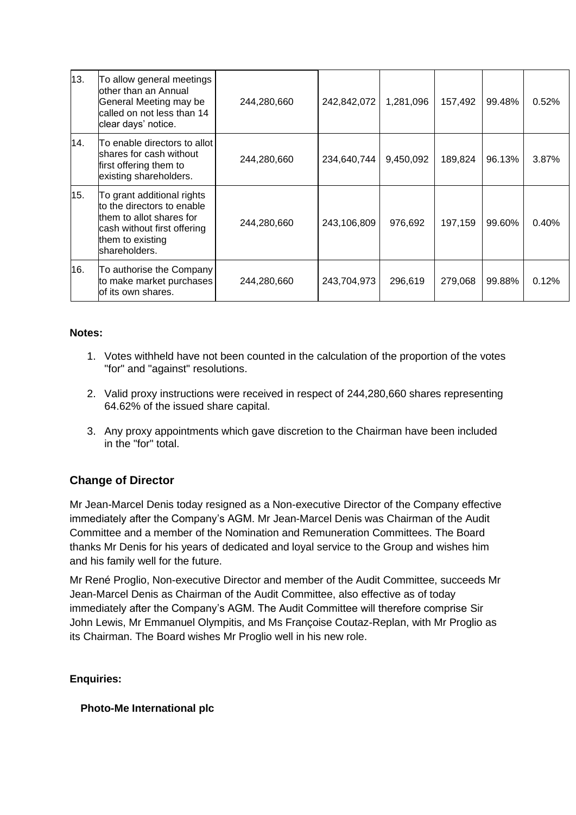| 13. | To allow general meetings<br>other than an Annual<br>General Meeting may be<br>called on not less than 14<br>clear days' notice.                         | 244,280,660 | 242,842,072 | 1,281,096 | 157,492 | 99.48% | 0.52%    |
|-----|----------------------------------------------------------------------------------------------------------------------------------------------------------|-------------|-------------|-----------|---------|--------|----------|
| 14. | To enable directors to allot l<br>shares for cash without<br>first offering them to<br>existing shareholders.                                            | 244,280,660 | 234,640,744 | 9,450,092 | 189,824 | 96.13% | 3.87%    |
| 15. | To grant additional rights<br>to the directors to enable<br>them to allot shares for<br>cash without first offering<br>them to existing<br>shareholders. | 244,280,660 | 243,106,809 | 976,692   | 197,159 | 99.60% | $0.40\%$ |
| 16. | To authorise the Company<br>to make market purchases<br>of its own shares.                                                                               | 244,280,660 | 243,704,973 | 296,619   | 279,068 | 99.88% | 0.12%    |

#### **Notes:**

- 1. Votes withheld have not been counted in the calculation of the proportion of the votes "for" and "against" resolutions.
- 2. Valid proxy instructions were received in respect of 244,280,660 shares representing 64.62% of the issued share capital.
- 3. Any proxy appointments which gave discretion to the Chairman have been included in the "for" total.

# **Change of Director**

Mr Jean-Marcel Denis today resigned as a Non-executive Director of the Company effective immediately after the Company's AGM. Mr Jean-Marcel Denis was Chairman of the Audit Committee and a member of the Nomination and Remuneration Committees. The Board thanks Mr Denis for his years of dedicated and loyal service to the Group and wishes him and his family well for the future.

Mr René Proglio, Non-executive Director and member of the Audit Committee, succeeds Mr Jean-Marcel Denis as Chairman of the Audit Committee, also effective as of today immediately after the Company's AGM. The Audit Committee will therefore comprise Sir John Lewis, Mr Emmanuel Olympitis, and Ms Françoise Coutaz-Replan, with Mr Proglio as its Chairman. The Board wishes Mr Proglio well in his new role.

### **Enquiries:**

### **Photo-Me International plc**